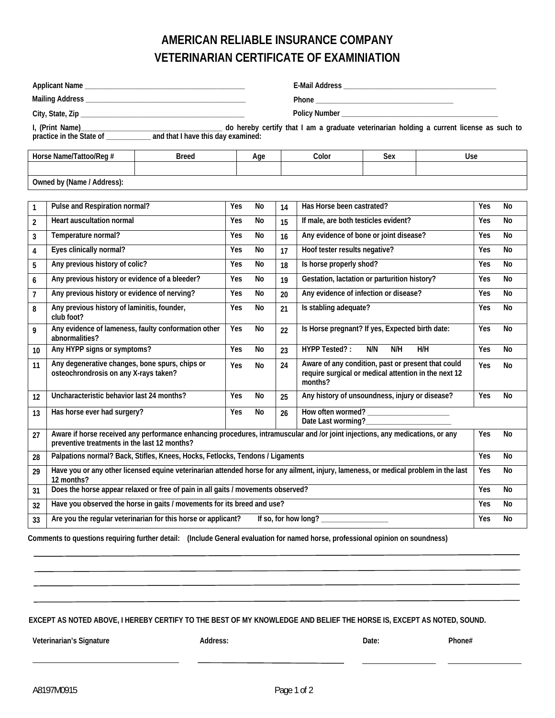## **AMERICAN RELIABLE INSURANCE COMPANY VETERINARIAN CERTIFICATE OF EXAMINIATION**

|                                                                                             |                                                                                                                                                                               |  |     | I, (Print Name)<br>practice in the State of _____________ and that I have this day examined:<br>practice in the State of ____________ and that I have this day examined: |    |                                                                                                                       |            |     |     |           |
|---------------------------------------------------------------------------------------------|-------------------------------------------------------------------------------------------------------------------------------------------------------------------------------|--|-----|--------------------------------------------------------------------------------------------------------------------------------------------------------------------------|----|-----------------------------------------------------------------------------------------------------------------------|------------|-----|-----|-----------|
|                                                                                             |                                                                                                                                                                               |  |     |                                                                                                                                                                          |    |                                                                                                                       |            |     |     |           |
| Horse Name/Tattoo/Reg #<br><b>Breed</b>                                                     |                                                                                                                                                                               |  | Age |                                                                                                                                                                          |    | Color<br>Sex<br>Use                                                                                                   |            |     |     |           |
|                                                                                             |                                                                                                                                                                               |  |     |                                                                                                                                                                          |    |                                                                                                                       |            |     |     |           |
| Owned by (Name / Address):                                                                  |                                                                                                                                                                               |  |     |                                                                                                                                                                          |    |                                                                                                                       |            |     |     |           |
| 1                                                                                           | Pulse and Respiration normal?                                                                                                                                                 |  |     | No                                                                                                                                                                       | 14 | Has Horse been castrated?                                                                                             |            |     | Yes | No        |
| $\overline{2}$                                                                              | <b>Heart auscultation normal</b>                                                                                                                                              |  | Yes | No                                                                                                                                                                       | 15 | If male, are both testicles evident?                                                                                  |            |     | Yes | <b>No</b> |
| 3                                                                                           | Temperature normal?                                                                                                                                                           |  | Yes | No                                                                                                                                                                       | 16 | Any evidence of bone or joint disease?                                                                                |            |     | Yes | No        |
| 4                                                                                           | Eyes clinically normal?                                                                                                                                                       |  | Yes | No                                                                                                                                                                       | 17 | Hoof tester results negative?                                                                                         |            |     | Yes | <b>No</b> |
| 5                                                                                           | Any previous history of colic?                                                                                                                                                |  | Yes | No                                                                                                                                                                       | 18 | Is horse properly shod?                                                                                               |            |     | Yes | <b>No</b> |
| 6                                                                                           | Any previous history or evidence of a bleeder?                                                                                                                                |  |     | No                                                                                                                                                                       | 19 | Gestation, lactation or parturition history?                                                                          |            |     | Yes | No        |
| $\overline{7}$                                                                              | Any previous history or evidence of nerving?                                                                                                                                  |  | Yes | No                                                                                                                                                                       | 20 | Any evidence of infection or disease?                                                                                 |            |     | Yes | <b>No</b> |
| 8                                                                                           | Any previous history of laminitis, founder,<br>club foot?                                                                                                                     |  | Yes | No                                                                                                                                                                       | 21 | Is stabling adequate?                                                                                                 |            |     | Yes | <b>No</b> |
| 9                                                                                           | Any evidence of lameness, faulty conformation other<br>abnormalities?                                                                                                         |  | Yes | No                                                                                                                                                                       | 22 | Is Horse pregnant? If yes, Expected birth date:                                                                       |            |     | Yes | No        |
| 10                                                                                          | Any HYPP signs or symptoms?                                                                                                                                                   |  | Yes | No                                                                                                                                                                       | 23 | HYPP Tested?:                                                                                                         | N/N<br>N/H | H/H | Yes | <b>No</b> |
| 11                                                                                          | Any degenerative changes, bone spurs, chips or<br>osteochrondrosis on any X-rays taken?                                                                                       |  | Yes | No                                                                                                                                                                       | 24 | Aware of any condition, past or present that could<br>require surgical or medical attention in the next 12<br>months? |            |     | Yes | No        |
| 12                                                                                          | Uncharacteristic behavior last 24 months?                                                                                                                                     |  | Yes | No                                                                                                                                                                       | 25 | Any history of unsoundness, injury or disease?                                                                        |            |     | Yes | No        |
| 13                                                                                          | Has horse ever had surgery?                                                                                                                                                   |  | Yes | No                                                                                                                                                                       | 26 | Date Last worming?_                                                                                                   |            |     |     |           |
| 27                                                                                          | Aware if horse received any performance enhancing procedures, intramuscular and /or joint injections, any medications, or any<br>preventive treatments in the last 12 months? |  |     |                                                                                                                                                                          |    |                                                                                                                       |            |     | Yes | No        |
| 28                                                                                          | Palpations normal? Back, Stifles, Knees, Hocks, Fetlocks, Tendons / Ligaments                                                                                                 |  |     |                                                                                                                                                                          |    |                                                                                                                       |            |     | Yes | <b>No</b> |
| 29                                                                                          | Have you or any other licensed equine veterinarian attended horse for any ailment, injury, lameness, or medical problem in the last<br>12 months?                             |  |     |                                                                                                                                                                          |    |                                                                                                                       |            |     | Yes | No        |
| 31                                                                                          | Does the horse appear relaxed or free of pain in all gaits / movements observed?                                                                                              |  |     |                                                                                                                                                                          |    |                                                                                                                       |            |     | Yes | No        |
| 32                                                                                          | Have you observed the horse in gaits / movements for its breed and use?                                                                                                       |  |     |                                                                                                                                                                          |    |                                                                                                                       |            |     | Yes | No        |
| Are you the regular veterinarian for this horse or applicant?<br>If so, for how long?<br>33 |                                                                                                                                                                               |  |     |                                                                                                                                                                          |    |                                                                                                                       |            |     | Yes | No        |

 **Comments to questions requiring further detail: (Include General evaluation for named horse, professional opinion on soundness)**

**EXCEPT AS NOTED ABOVE, I HEREBY CERTIFY TO THE BEST OF MY KNOWLEDGE AND BELIEF THE HORSE IS, EXCEPT AS NOTED, SOUND.** 

Veterinarian's Signature **Address:** Address: Date: Date: Phone#